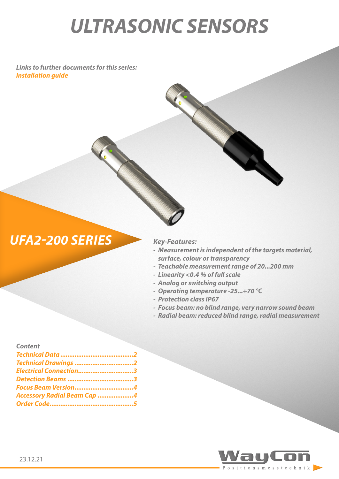# *ULTRASONIC SENSORS*

*Links to further documents for this series: [Installation guide](https://www.waycon.de/fileadmin/ultrasonic-sensors/Ultrasonic-Sensor-UFA2-Installation-Guide.pdf)*

## *UFA2-200 SERIES Key-Features:*

*- Measurement is independent of the targets material, surface, colour or transparency*

- *- Teachable measurement range of 20...200 mm*
- *- Linearity <0.4 % of full scale*
- *- Analog or switching output*
- *- Operating temperature -25...+70 °C*
- *- Protection class IP67*
- *- Focus beam: no blind range, very narrow sound beam*
- *- Radial beam: reduced blind range, radial measurement*

| <b>Content</b>                     |  |
|------------------------------------|--|
|                                    |  |
| Technical Drawings 2               |  |
| Electrical Connection3             |  |
|                                    |  |
|                                    |  |
| <b>Accessory Radial Beam Cap 4</b> |  |
|                                    |  |
|                                    |  |

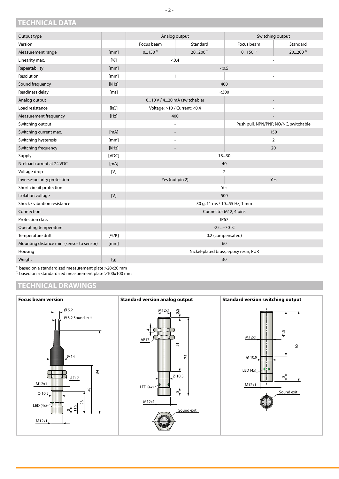<span id="page-1-0"></span>**TECHNICAL DATA**

| Output type                               |             | Analog output                                           |             |                      | Switching output                      |  |  |
|-------------------------------------------|-------------|---------------------------------------------------------|-------------|----------------------|---------------------------------------|--|--|
| Version                                   |             | Focus beam                                              | Standard    | Focus beam           | Standard                              |  |  |
| Measurement range                         | [mm]        | $0150$ <sup>1)</sup>                                    | $20200^{2}$ | $0150$ <sup>1)</sup> | 20200 $2$                             |  |  |
| Linearity max.                            | $[%]$       | < 0.4                                                   |             |                      |                                       |  |  |
| Repeatability                             | [mm]        | < 0.5                                                   |             |                      |                                       |  |  |
| Resolution                                | [mm]        | $\mathbf{1}$                                            |             |                      |                                       |  |  |
| Sound frequency                           | [kHz]       | 400                                                     |             |                      |                                       |  |  |
| Readiness delay                           | [ms]        | $300$                                                   |             |                      |                                       |  |  |
| Analog output                             |             | 010 V / 420 mA (switchable)<br>$\overline{\phantom{a}}$ |             |                      |                                       |  |  |
| Load resistance                           | $[k\Omega]$ | Voltage: >10 / Current: < 0,4                           |             |                      |                                       |  |  |
| Measurement frequency                     | [Hz]        | 400                                                     |             |                      |                                       |  |  |
| Switching output                          |             | $\overline{\phantom{a}}$                                |             |                      | Push pull, NPN/PNP, NO/NC, switchable |  |  |
| Switching current max.                    | [mA]        | $\overline{\phantom{a}}$                                |             |                      | 150                                   |  |  |
| Switching hysteresis                      | [mm]        |                                                         |             |                      | $\overline{2}$                        |  |  |
| Switching frequency                       | [kHz]       |                                                         |             | 20                   |                                       |  |  |
| Supply                                    | [VDC]       | 1830                                                    |             |                      |                                       |  |  |
| No-load current at 24 VDC                 | [mA]        | 40                                                      |             |                      |                                       |  |  |
| Voltage drop                              | [V]         | 2                                                       |             |                      |                                       |  |  |
| Inverse-polarity protection               |             | Yes (not pin 2)                                         |             | Yes                  |                                       |  |  |
| Short circuit protection                  |             | Yes                                                     |             |                      |                                       |  |  |
| Isolation voltage                         | $[V]$       | 500                                                     |             |                      |                                       |  |  |
| Shock / vibration resistance              |             | 30 g, 11 ms / 1055 Hz, 1 mm                             |             |                      |                                       |  |  |
| Connection                                |             | Connector M12, 4 pins                                   |             |                      |                                       |  |  |
| Protection class                          |             | <b>IP67</b>                                             |             |                      |                                       |  |  |
| Operating temperature                     |             | $-25+70$ °C                                             |             |                      |                                       |  |  |
| Temperature drift                         | [% / K]     | 0.2 (compensated)                                       |             |                      |                                       |  |  |
| Mounting distance min. (sensor to sensor) | [mm]        | 60                                                      |             |                      |                                       |  |  |
| Housing                                   |             | Nickel-plated brass, epoxy resin, PUR                   |             |                      |                                       |  |  |
| Weight                                    | [g]         | 30                                                      |             |                      |                                       |  |  |

1) based on a standardized measurement plate >20x20 mm

<sup>2)</sup> based on a standardized measurement plate >100x100 mm

#### **TECHNICAL DRAWINGS**

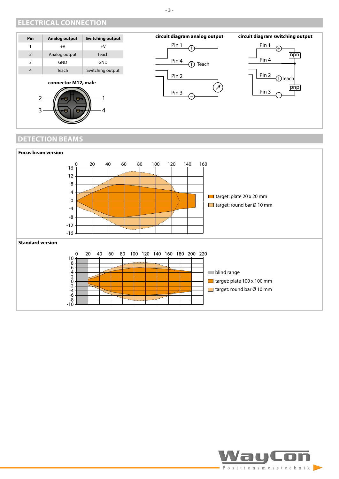#### <span id="page-2-0"></span>**ELECTRICAL CONNECTION**



 $2 - 1$  0 0  $1 - 1$ 

 $3 - 10 - 9$  (0-1



**circuit diagram analog output**



### **DETECTION BEAMS**



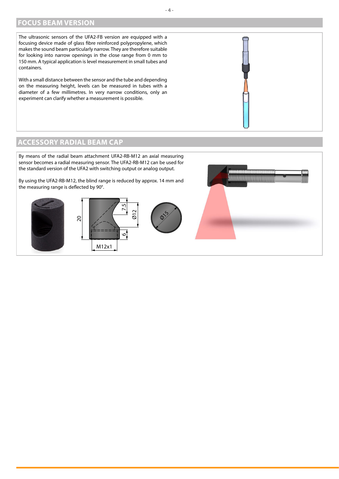#### <span id="page-3-0"></span>**FOCUS BEAM VERSION**

The ultrasonic sensors of the UFA2-FB version are equipped with a focusing device made of glass fibre reinforced polypropylene, which makes the sound beam particularly narrow. They are therefore suitable for looking into narrow openings in the close range from 0 mm to 150 mm. A typical application is level measurement in small tubes and containers.

With a small distance between the sensor and the tube and depending on the measuring height, levels can be measured in tubes with a diameter of a few millimetres. In very narrow conditions, only an experiment can clarify whether a measurement is possible.

#### **ACCESSORY RADIAL BEAM CAP**

By means of the radial beam attachment UFA2-RB-M12 an axial measuring sensor becomes a radial measuring sensor. The UFA2-RB-M12 can be used for the standard version of the UFA2 with switching output or analog output. By using the UFA2-RB-M12, the blind range is reduced by approx. 14 mm and the measuring range is deflected by 90°.